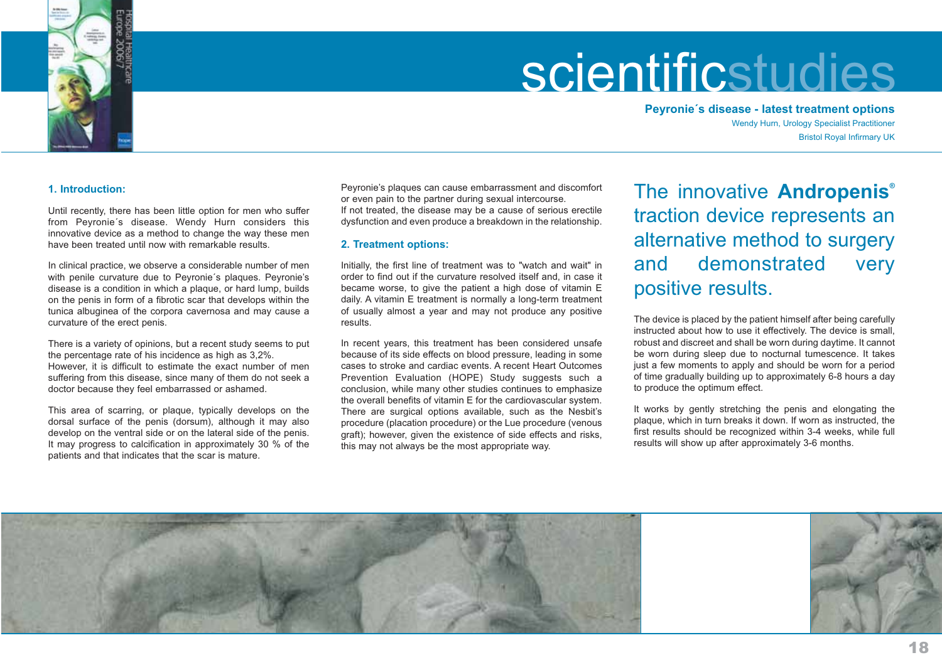

**Peyronie´s disease - latest treatment options** Wendy Hurn, Urology Specialist Practitioner Bristol Royal Infirmary UK

# **1. Introduction:**

Until recently, there has been little option for men who suffer from Peyronie´s disease. Wendy Hurn considers this innovative device as a method to change the way these men have been treated until now with remarkable results.

In clinical practice, we observe a considerable number of men with penile curvature due to Peyronie´s plaques. Peyronie's disease is a condition in which a plaque, or hard lump, builds on the penis in form of a fibrotic scar that develops within the tunica albuginea of the corpora cavernosa and may cause a curvature of the erect penis.

There is a variety of opinions, but a recent study seems to put the percentage rate of his incidence as high as 3,2%. However, it is difficult to estimate the exact number of men suffering from this disease, since many of them do not seek a doctor because they feel embarrassed or ashamed.

This area of scarring, or plaque, typically develops on the dorsal surface of the penis (dorsum), although it may also develop on the ventral side or on the lateral side of the penis. It may progress to calcification in approximately 30 % of the patients and that indicates that the scar is mature.

Peyronie's plaques can cause embarrassment and discomfort or even pain to the partner during sexual intercourse. If not treated, the disease may be a cause of serious erectile dysfunction and even produce a breakdown in the relationship.

# **2. Treatment options:**

Initially, the first line of treatment was to "watch and wait" in order to find out if the curvature resolved itself and, in case it became worse, to give the patient a high dose of vitamin E daily. A vitamin E treatment is normally a long-term treatment of usually almost a year and may not produce any positive results.

In recent years, this treatment has been considered unsafe because of its side effects on blood pressure, leading in some cases to stroke and cardiac events. A recent Heart OutcomesPrevention Evaluation (HOPE) Study suggests such a conclusion, while many other studies continues to emphasize the overall benefits of vitamin E for the cardiovascular system. There are surgical options available, such as the Nesbit's procedure (placation procedure) or the Lue procedure (venous graft); however, given the existence of side effects and risks, this may not always be the most appropriate way.

The innovative **Andropenis®** traction device represents an alternative method to surgery and demonstrated very positive results.

The device is placed by the patient himself after being carefully instructed about how to use it effectively. The device is small, robust and discreet and shall be worn during daytime. It cannot be worn during sleep due to nocturnal tumescence. It takes just a few moments to apply and should be worn for a period of time gradually building up to approximately 6-8 hours a day to produce the optimum effect.

It works by gently stretching the penis and elongating the plaque, which in turn breaks it down. If worn as instructed, the first results should be recognized within 3-4 weeks, while full results will show up after approximately 3-6 months.